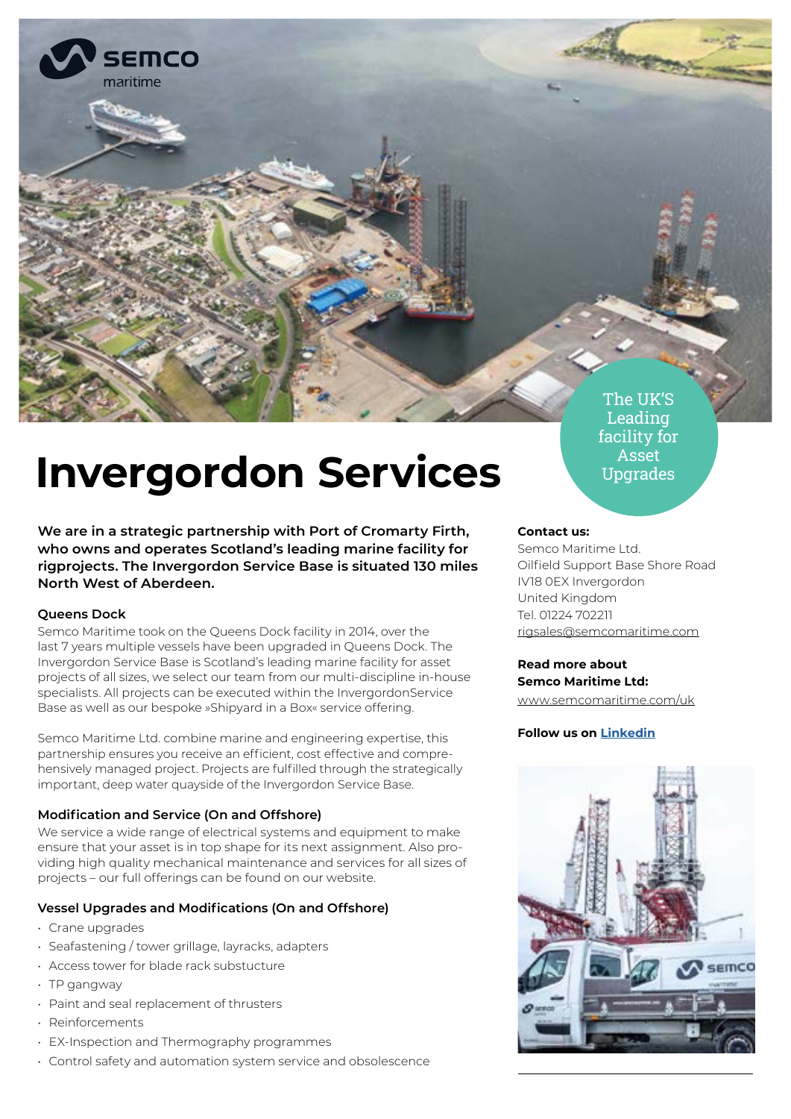

# **Invergordon Services**

**We are in a strategic partnership with Port of Cromarty Firth, who owns and operates Scotland's leading marine facility for rigprojects. The Invergordon Service Base is situated 130 miles North West of Aberdeen.**

## **Queens Dock**

Semco Maritime took on the Queens Dock facility in 2014, over the last 7 years multiple vessels have been upgraded in Queens Dock. The Invergordon Service Base is Scotland's leading marine facility for asset projects of all sizes, we select our team from our multi-discipline in-house specialists. All projects can be executed within the InvergordonService Base as well as our bespoke »Shipyard in a Box« service offering.

Semco Maritime Ltd. combine marine and engineering expertise, this partnership ensures you receive an efficient, cost effective and comprehensively managed project. Projects are fulfilled through the strategically important, deep water quayside of the Invergordon Service Base.

# **Modification and Service (On and Offshore)**

We service a wide range of electrical systems and equipment to make ensure that your asset is in top shape for its next assignment. Also providing high quality mechanical maintenance and services for all sizes of projects – our full offerings can be found on our website.

# **Vessel Upgrades and Modifications (On and Offshore)**

- Crane upgrades
- Seafastening / tower grillage, layracks, adapters
- Access tower for blade rack substucture
- TP gangway
- Paint and seal replacement of thrusters
- Reinforcements
- EX-Inspection and Thermography programmes
- Control safety and automation system service and obsolescence

Leading facility for Asset Upgrades

# **Contact us:**

Semco Maritime Ltd. Oilfield Support Base Shore Road IV18 0EX Invergordon United Kingdom Tel. 01224 702211 [rigsales@semcomaritime.com](mailto:rigsales%40semcomaritime.com?subject=)

# **Read more about Semco Maritime Ltd:**

[www.semcomaritime.com/uk](http://www.semcomaritime.com/uk)

# **Follow us on [Linkedin](https://www.linkedin.com/showcase/semco-maritime-ltd./)**